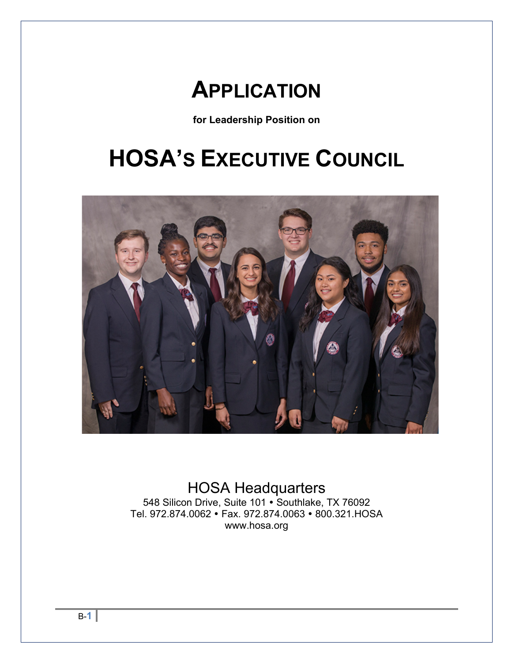# **APPLICATION**

**for Leadership Position on**

# **HOSA'S EXECUTIVE COUNCIL**



HOSA Headquarters 548 Silicon Drive, Suite 101 · Southlake, TX 76092 Tel. 972.874.0062 · Fax. 972.874.0063 · 800.321.HOSA www.hosa.org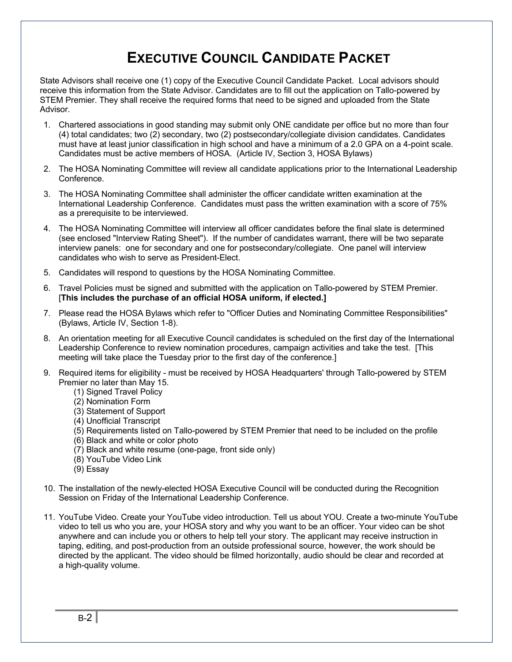### **EXECUTIVE COUNCIL CANDIDATE PACKET**

State Advisors shall receive one (1) copy of the Executive Council Candidate Packet. Local advisors should receive this information from the State Advisor. Candidates are to fill out the application on Tallo-powered by STEM Premier. They shall receive the required forms that need to be signed and uploaded from the State Advisor.

- 1. Chartered associations in good standing may submit only ONE candidate per office but no more than four (4) total candidates; two (2) secondary, two (2) postsecondary/collegiate division candidates. Candidates must have at least junior classification in high school and have a minimum of a 2.0 GPA on a 4-point scale. Candidates must be active members of HOSA. (Article IV, Section 3, HOSA Bylaws)
- 2. The HOSA Nominating Committee will review all candidate applications prior to the International Leadership Conference.
- 3. The HOSA Nominating Committee shall administer the officer candidate written examination at the International Leadership Conference. Candidates must pass the written examination with a score of 75% as a prerequisite to be interviewed.
- 4. The HOSA Nominating Committee will interview all officer candidates before the final slate is determined (see enclosed "Interview Rating Sheet"). If the number of candidates warrant, there will be two separate interview panels: one for secondary and one for postsecondary/collegiate. One panel will interview candidates who wish to serve as President-Elect.
- 5. Candidates will respond to questions by the HOSA Nominating Committee.
- 6. Travel Policies must be signed and submitted with the application on Tallo-powered by STEM Premier. [**This includes the purchase of an official HOSA uniform, if elected.]**
- 7. Please read the HOSA Bylaws which refer to "Officer Duties and Nominating Committee Responsibilities" (Bylaws, Article IV, Section 1-8).
- 8. An orientation meeting for all Executive Council candidates is scheduled on the first day of the International Leadership Conference to review nomination procedures, campaign activities and take the test. [This meeting will take place the Tuesday prior to the first day of the conference.]
- 9. Required items for eligibility must be received by HOSA Headquarters' through Tallo-powered by STEM Premier no later than May 15.
	- (1) Signed Travel Policy
	- (2) Nomination Form
	- (3) Statement of Support
	- (4) Unofficial Transcript
	- (5) Requirements listed on Tallo-powered by STEM Premier that need to be included on the profile
	- (6) Black and white or color photo
	- (7) Black and white resume (one-page, front side only)
	- (8) YouTube Video Link
	- (9) Essay
- 10. The installation of the newly-elected HOSA Executive Council will be conducted during the Recognition Session on Friday of the International Leadership Conference.
- 11. YouTube Video. Create your YouTube video introduction. Tell us about YOU. Create a two-minute YouTube video to tell us who you are, your HOSA story and why you want to be an officer. Your video can be shot anywhere and can include you or others to help tell your story. The applicant may receive instruction in taping, editing, and post-production from an outside professional source, however, the work should be directed by the applicant. The video should be filmed horizontally, audio should be clear and recorded at a high-quality volume.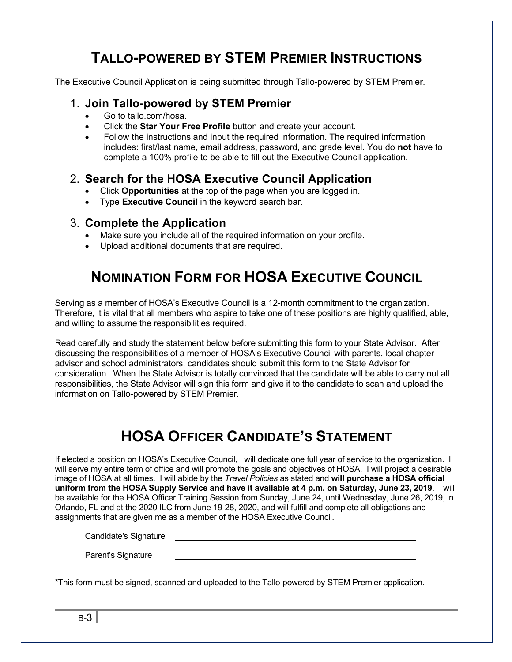### **TALLO-POWERED BY STEM PREMIER INSTRUCTIONS**

The Executive Council Application is being submitted through Tallo-powered by STEM Premier.

#### 1. **Join Tallo-powered by STEM Premier**

- Go to tallo.com/hosa.
- Click the **Star Your Free Profile** button and create your account.
- Follow the instructions and input the required information. The required information includes: first/last name, email address, password, and grade level. You do **not** have to complete a 100% profile to be able to fill out the Executive Council application.

#### 2. **Search for the HOSA Executive Council Application**

- Click **Opportunities** at the top of the page when you are logged in.
- Type **Executive Council** in the keyword search bar.

#### 3. **Complete the Application**

- Make sure you include all of the required information on your profile.
- Upload additional documents that are required.

### **NOMINATION FORM FOR HOSA EXECUTIVE COUNCIL**

Serving as a member of HOSA's Executive Council is a 12-month commitment to the organization. Therefore, it is vital that all members who aspire to take one of these positions are highly qualified, able, and willing to assume the responsibilities required.

Read carefully and study the statement below before submitting this form to your State Advisor. After discussing the responsibilities of a member of HOSA's Executive Council with parents, local chapter advisor and school administrators, candidates should submit this form to the State Advisor for consideration. When the State Advisor is totally convinced that the candidate will be able to carry out all responsibilities, the State Advisor will sign this form and give it to the candidate to scan and upload the information on Tallo-powered by STEM Premier.

### **HOSA OFFICER CANDIDATE'S STATEMENT**

If elected a position on HOSA's Executive Council, I will dedicate one full year of service to the organization. I will serve my entire term of office and will promote the goals and objectives of HOSA. I will project a desirable image of HOSA at all times. I will abide by the *Travel Policies* as stated and **will purchase a HOSA official uniform from the HOSA Supply Service and have it available at 4 p.m. on Saturday, June 23, 2019**. I will be available for the HOSA Officer Training Session from Sunday, June 24, until Wednesday, June 26, 2019, in Orlando, FL and at the 2020 ILC from June 19-28, 2020, and will fulfill and complete all obligations and assignments that are given me as a member of the HOSA Executive Council.

Candidate's Signature

Parent's Signature

\*This form must be signed, scanned and uploaded to the Tallo-powered by STEM Premier application.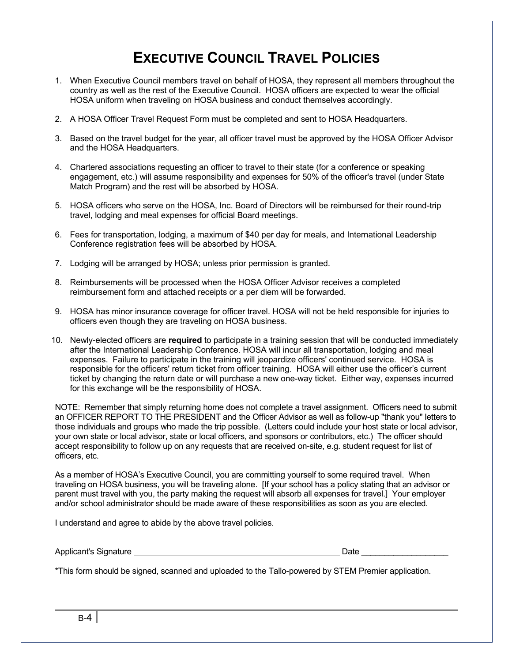### **EXECUTIVE COUNCIL TRAVEL POLICIES**

- 1. When Executive Council members travel on behalf of HOSA, they represent all members throughout the country as well as the rest of the Executive Council. HOSA officers are expected to wear the official HOSA uniform when traveling on HOSA business and conduct themselves accordingly.
- 2. A HOSA Officer Travel Request Form must be completed and sent to HOSA Headquarters.
- 3. Based on the travel budget for the year, all officer travel must be approved by the HOSA Officer Advisor and the HOSA Headquarters.
- 4. Chartered associations requesting an officer to travel to their state (for a conference or speaking engagement, etc.) will assume responsibility and expenses for 50% of the officer's travel (under State Match Program) and the rest will be absorbed by HOSA.
- 5. HOSA officers who serve on the HOSA, Inc. Board of Directors will be reimbursed for their round-trip travel, lodging and meal expenses for official Board meetings.
- 6. Fees for transportation, lodging, a maximum of \$40 per day for meals, and International Leadership Conference registration fees will be absorbed by HOSA.
- 7. Lodging will be arranged by HOSA; unless prior permission is granted.
- 8. Reimbursements will be processed when the HOSA Officer Advisor receives a completed reimbursement form and attached receipts or a per diem will be forwarded.
- 9. HOSA has minor insurance coverage for officer travel. HOSA will not be held responsible for injuries to officers even though they are traveling on HOSA business.
- 10. Newly-elected officers are **required** to participate in a training session that will be conducted immediately after the International Leadership Conference. HOSA will incur all transportation, lodging and meal expenses. Failure to participate in the training will jeopardize officers' continued service. HOSA is responsible for the officers' return ticket from officer training. HOSA will either use the officer's current ticket by changing the return date or will purchase a new one-way ticket. Either way, expenses incurred for this exchange will be the responsibility of HOSA.

NOTE: Remember that simply returning home does not complete a travel assignment. Officers need to submit an OFFICER REPORT TO THE PRESIDENT and the Officer Advisor as well as follow-up "thank you" letters to those individuals and groups who made the trip possible. (Letters could include your host state or local advisor, your own state or local advisor, state or local officers, and sponsors or contributors, etc.) The officer should accept responsibility to follow up on any requests that are received on-site, e.g. student request for list of officers, etc.

As a member of HOSA's Executive Council, you are committing yourself to some required travel. When traveling on HOSA business, you will be traveling alone. [If your school has a policy stating that an advisor or parent must travel with you, the party making the request will absorb all expenses for travel.] Your employer and/or school administrator should be made aware of these responsibilities as soon as you are elected.

I understand and agree to abide by the above travel policies.

Applicant's Signature **Date Access 2018** Date 2018

\*This form should be signed, scanned and uploaded to the Tallo-powered by STEM Premier application.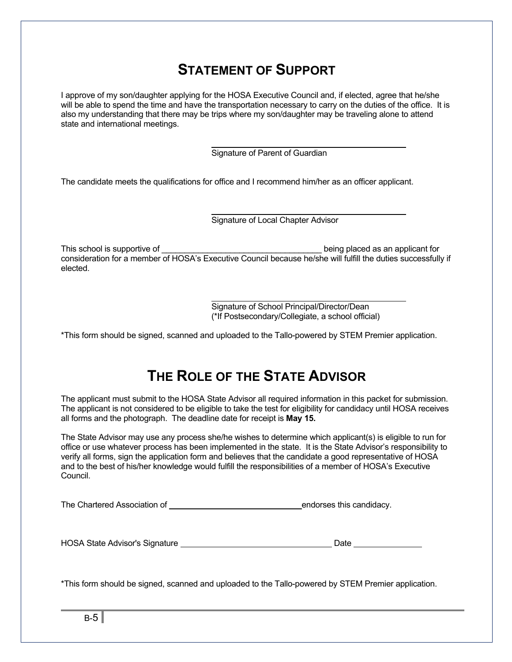### **STATEMENT OF SUPPORT**

I approve of my son/daughter applying for the HOSA Executive Council and, if elected, agree that he/she will be able to spend the time and have the transportation necessary to carry on the duties of the office. It is also my understanding that there may be trips where my son/daughter may be traveling alone to attend state and international meetings.

> Signature of Parent of Guardian

The candidate meets the qualifications for office and I recommend him/her as an officer applicant.

 $\overline{\phantom{a}}$ 

Signature of Local Chapter Advisor

This school is supportive of  $\Box$   $\Box$   $\Box$  being placed as an applicant for consideration for a member of HOSA's Executive Council because he/she will fulfill the duties successfully if elected.

> Signature of School Principal/Director/Dean (\*If Postsecondary/Collegiate, a school official)

\*This form should be signed, scanned and uploaded to the Tallo-powered by STEM Premier application.

### **THE ROLE OF THE STATE ADVISOR**

The applicant must submit to the HOSA State Advisor all required information in this packet for submission. The applicant is not considered to be eligible to take the test for eligibility for candidacy until HOSA receives all forms and the photograph. The deadline date for receipt is **May 15.**

The State Advisor may use any process she/he wishes to determine which applicant(s) is eligible to run for office or use whatever process has been implemented in the state. It is the State Advisor's responsibility to verify all forms, sign the application form and believes that the candidate a good representative of HOSA and to the best of his/her knowledge would fulfill the responsibilities of a member of HOSA's Executive Council.

The Chartered Association of endorses this candidacy.

| <b>HOSA State Advisor's Signature</b> | Date |  |
|---------------------------------------|------|--|
|                                       |      |  |

\*This form should be signed, scanned and uploaded to the Tallo-powered by STEM Premier application.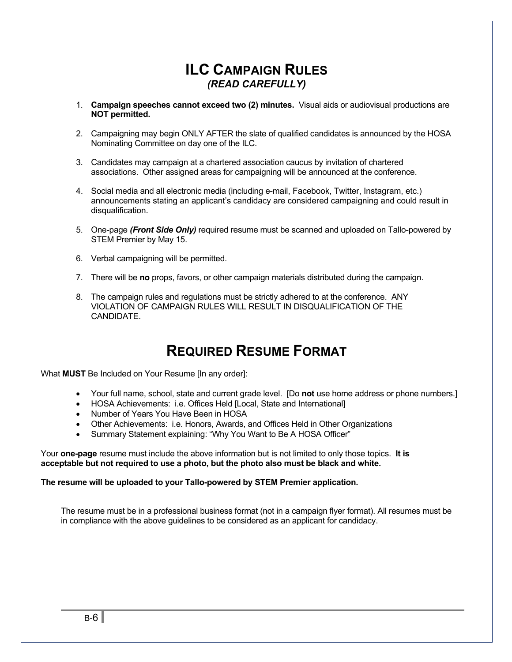#### **ILC CAMPAIGN RULES** *(READ CAREFULLY)*

- 1. **Campaign speeches cannot exceed two (2) minutes.** Visual aids or audiovisual productions are **NOT permitted.**
- 2. Campaigning may begin ONLY AFTER the slate of qualified candidates is announced by the HOSA Nominating Committee on day one of the ILC.
- 3. Candidates may campaign at a chartered association caucus by invitation of chartered associations. Other assigned areas for campaigning will be announced at the conference.
- 4. Social media and all electronic media (including e-mail, Facebook, Twitter, Instagram, etc.) announcements stating an applicant's candidacy are considered campaigning and could result in disqualification.
- 5. One-page *(Front Side Only)* required resume must be scanned and uploaded on Tallo-powered by STEM Premier by May 15.
- 6. Verbal campaigning will be permitted.
- 7. There will be **no** props, favors, or other campaign materials distributed during the campaign.
- 8. The campaign rules and regulations must be strictly adhered to at the conference. ANY VIOLATION OF CAMPAIGN RULES WILL RESULT IN DISQUALIFICATION OF THE CANDIDATE.

### **REQUIRED RESUME FORMAT**

What **MUST** Be Included on Your Resume [In any order]:

- Your full name, school, state and current grade level. [Do **not** use home address or phone numbers.]
- HOSA Achievements: i.e. Offices Held [Local, State and International]
- Number of Years You Have Been in HOSA
- Other Achievements: i.e. Honors, Awards, and Offices Held in Other Organizations
- Summary Statement explaining: "Why You Want to Be A HOSA Officer"

Your **one-page** resume must include the above information but is not limited to only those topics. **It is acceptable but not required to use a photo, but the photo also must be black and white.**

#### **The resume will be uploaded to your Tallo-powered by STEM Premier application.**

The resume must be in a professional business format (not in a campaign flyer format). All resumes must be in compliance with the above guidelines to be considered as an applicant for candidacy.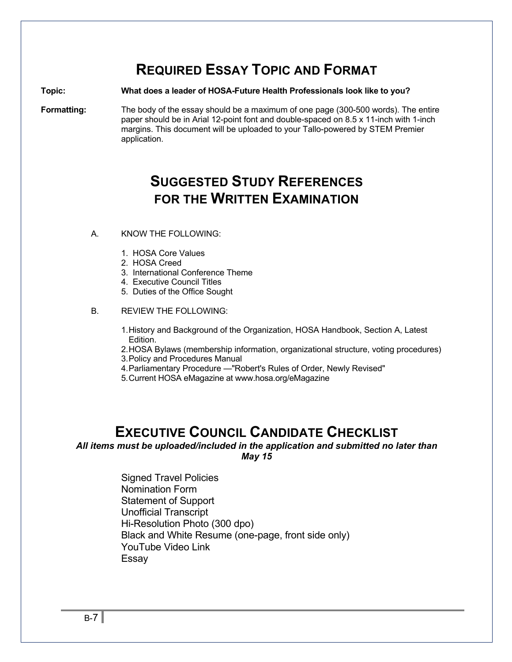### **REQUIRED ESSAY TOPIC AND FORMAT**

#### **Topic: What does a leader of HOSA-Future Health Professionals look like to you?**

**Formatting:** The body of the essay should be a maximum of one page (300-500 words). The entire paper should be in Arial 12-point font and double-spaced on 8.5 x 11-inch with 1-inch margins. This document will be uploaded to your Tallo-powered by STEM Premier application.

### **SUGGESTED STUDY REFERENCES FOR THE WRITTEN EXAMINATION**

- A. KNOW THE FOLLOWING:
	- 1. HOSA Core Values
	- 2. HOSA Creed
	- 3. International Conference Theme
	- 4. Executive Council Titles
	- 5. Duties of the Office Sought

#### B. REVIEW THE FOLLOWING:

- 1.History and Background of the Organization, HOSA Handbook, Section A, Latest Edition.
- 2.HOSA Bylaws (membership information, organizational structure, voting procedures)
- 3.Policy and Procedures Manual
- 4.Parliamentary Procedure —"Robert's Rules of Order, Newly Revised"
- 5.Current HOSA eMagazine at www.hosa.org/eMagazine

#### **EXECUTIVE COUNCIL CANDIDATE CHECKLIST**

#### *All items must be uploaded/included in the application and submitted no later than May 15*

 Signed Travel Policies Nomination Form Statement of Support Unofficial Transcript Hi-Resolution Photo (300 dpo) Black and White Resume (one-page, front side only) YouTube Video Link Essay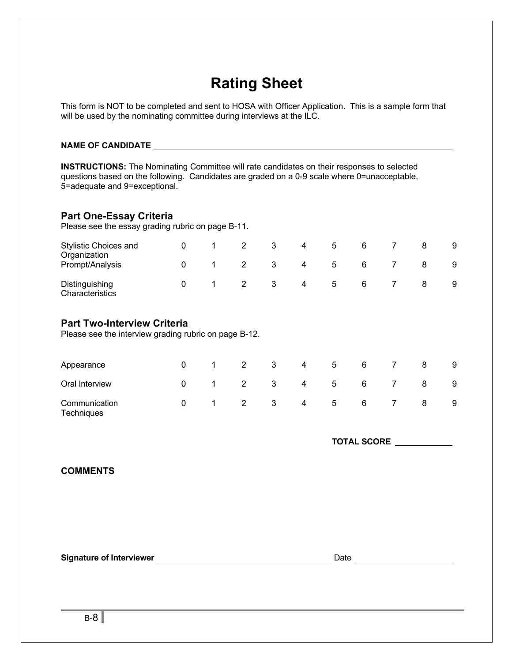### **Rating Sheet**

This form is NOT to be completed and sent to HOSA with Officer Application. This is a sample form that will be used by the nominating committee during interviews at the ILC.

#### **NAME OF CANDIDATE**

**INSTRUCTIONS:** The Nominating Committee will rate candidates on their responses to selected questions based on the following. Candidates are graded on a 0-9 scale where 0=unacceptable, 5=adequate and 9=exceptional.

#### **Part One-Essay Criteria**

Please see the essay grading rubric on page B-11.

| <b>Stylistic Choices and</b><br>Organization<br>Prompt/Analysis |  |   | 4<br>4 | <sub>5</sub><br>5 | 6 |  | 9<br>9 |
|-----------------------------------------------------------------|--|---|--------|-------------------|---|--|--------|
| Distinguishing<br>Characteristics                               |  | 3 | 4      | 5                 | 6 |  | 9      |

#### **Part Two-Interview Criteria**

Please see the interview grading rubric on page B-12.

| Appearance                         |          |             | 2 | 3                       | 4              | 5               | 6               |                | 8 | 9  |
|------------------------------------|----------|-------------|---|-------------------------|----------------|-----------------|-----------------|----------------|---|----|
| Oral Interview                     | $\Omega$ |             | 2 | $\overline{\mathbf{3}}$ | $\overline{4}$ | 5 <sub>5</sub>  | 6               |                | 8 | -9 |
| Communication<br><b>Techniques</b> | 0        | $\mathbf 1$ |   | $2 \qquad 3$            | $\overline{4}$ | $5\overline{)}$ | $6\overline{6}$ | $\overline{7}$ | 8 | -9 |

**TOTAL SCORE** 

#### **COMMENTS**

**Signature of Interviewer** 100 million 200 million 200 million 200 million 200 million 200 million 200 million 200 million 200 million 200 million 200 million 200 million 200 million 200 million 200 million 200 million 200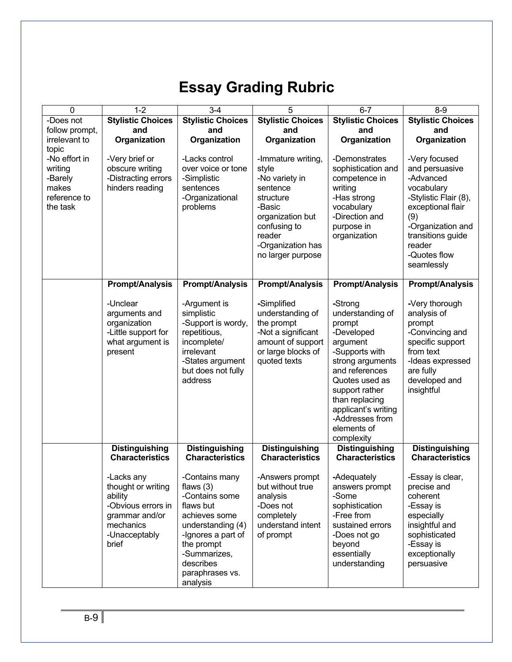## **Essay Grading Rubric**

| 0              | $1 - 2$                     | $3-4$                                  | 5                                       | $6 - 7$                            | $8 - 9$                             |  |
|----------------|-----------------------------|----------------------------------------|-----------------------------------------|------------------------------------|-------------------------------------|--|
| -Does not      | <b>Stylistic Choices</b>    | <b>Stylistic Choices</b>               | <b>Stylistic Choices</b>                | <b>Stylistic Choices</b>           | <b>Stylistic Choices</b>            |  |
| follow prompt, | and                         | and                                    | and                                     | and                                | and                                 |  |
| irrelevant to  | Organization                | Organization                           | Organization                            | Organization                       | Organization                        |  |
| topic          |                             |                                        |                                         |                                    |                                     |  |
| -No effort in  | -Very brief or              | -Lacks control                         | -Immature writing,                      | -Demonstrates                      | -Very focused                       |  |
| writing        | obscure writing             | over voice or tone                     | style                                   | sophistication and                 | and persuasive                      |  |
| -Barely        | -Distracting errors         | -Simplistic                            | -No variety in                          | competence in                      | -Advanced                           |  |
| makes          | hinders reading             | sentences                              | sentence                                | writing                            | vocabulary                          |  |
| reference to   |                             | -Organizational                        | structure                               | -Has strong                        | -Stylistic Flair (8),               |  |
| the task       |                             | problems                               | -Basic                                  | vocabulary                         | exceptional flair                   |  |
|                |                             |                                        | organization but                        | -Direction and                     | (9)                                 |  |
|                |                             |                                        | confusing to                            | purpose in                         | -Organization and                   |  |
|                |                             |                                        | reader                                  | organization                       | transitions guide                   |  |
|                |                             |                                        | -Organization has                       |                                    | reader                              |  |
|                |                             |                                        | no larger purpose                       |                                    | -Quotes flow                        |  |
|                |                             |                                        |                                         |                                    | seamlessly                          |  |
|                |                             |                                        |                                         |                                    |                                     |  |
|                | <b>Prompt/Analysis</b>      | <b>Prompt/Analysis</b>                 | <b>Prompt/Analysis</b>                  | <b>Prompt/Analysis</b>             | <b>Prompt/Analysis</b>              |  |
|                |                             |                                        |                                         |                                    |                                     |  |
|                | -Unclear                    | -Argument is                           | -Simplified                             | -Strong                            | -Very thorough                      |  |
|                | arguments and               | simplistic                             | understanding of                        | understanding of                   | analysis of                         |  |
|                | organization                | -Support is wordy,                     | the prompt                              | prompt                             | prompt                              |  |
|                | -Little support for         | repetitious,                           | -Not a significant                      | -Developed                         | -Convincing and<br>specific support |  |
|                | what argument is<br>present | incomplete/<br>irrelevant              | amount of support<br>or large blocks of | argument<br>-Supports with         | from text                           |  |
|                |                             |                                        | quoted texts                            |                                    |                                     |  |
|                |                             | -States argument<br>but does not fully |                                         | strong arguments<br>and references | -Ideas expressed<br>are fully       |  |
|                |                             | address                                |                                         | Quotes used as                     | developed and                       |  |
|                |                             |                                        |                                         | support rather                     | insightful                          |  |
|                |                             |                                        |                                         | than replacing                     |                                     |  |
|                |                             |                                        |                                         | applicant's writing                |                                     |  |
|                |                             |                                        |                                         | -Addresses from                    |                                     |  |
|                |                             |                                        |                                         | elements of                        |                                     |  |
|                |                             |                                        |                                         | complexity                         |                                     |  |
|                | <b>Distinguishing</b>       | <b>Distinguishing</b>                  | <b>Distinguishing</b>                   | <b>Distinguishing</b>              | <b>Distinguishing</b>               |  |
|                | <b>Characteristics</b>      | <b>Characteristics</b>                 | <b>Characteristics</b>                  | <b>Characteristics</b>             | <b>Characteristics</b>              |  |
|                |                             |                                        |                                         |                                    |                                     |  |
|                | -Lacks any                  | -Contains many                         | -Answers prompt                         | -Adequately                        | -Essay is clear,                    |  |
|                | thought or writing          | flaws $(3)$                            | but without true                        | answers prompt                     | precise and                         |  |
|                | ability                     | -Contains some                         | analysis                                | -Some                              | coherent                            |  |
|                | -Obvious errors in          | flaws but                              | -Does not                               | sophistication                     | -Essay is                           |  |
|                | grammar and/or              | achieves some                          | completely                              | -Free from                         | especially                          |  |
|                | mechanics                   | understanding (4)                      | understand intent                       | sustained errors                   | insightful and                      |  |
|                | -Unacceptably               | -Ignores a part of                     | of prompt                               | -Does not go                       | sophisticated                       |  |
|                | brief                       | the prompt                             |                                         | beyond                             | -Essay is                           |  |
|                |                             | -Summarizes,                           |                                         | essentially                        | exceptionally                       |  |
|                |                             | describes                              |                                         | understanding                      | persuasive                          |  |
|                |                             | paraphrases vs.                        |                                         |                                    |                                     |  |
|                |                             | analysis                               |                                         |                                    |                                     |  |